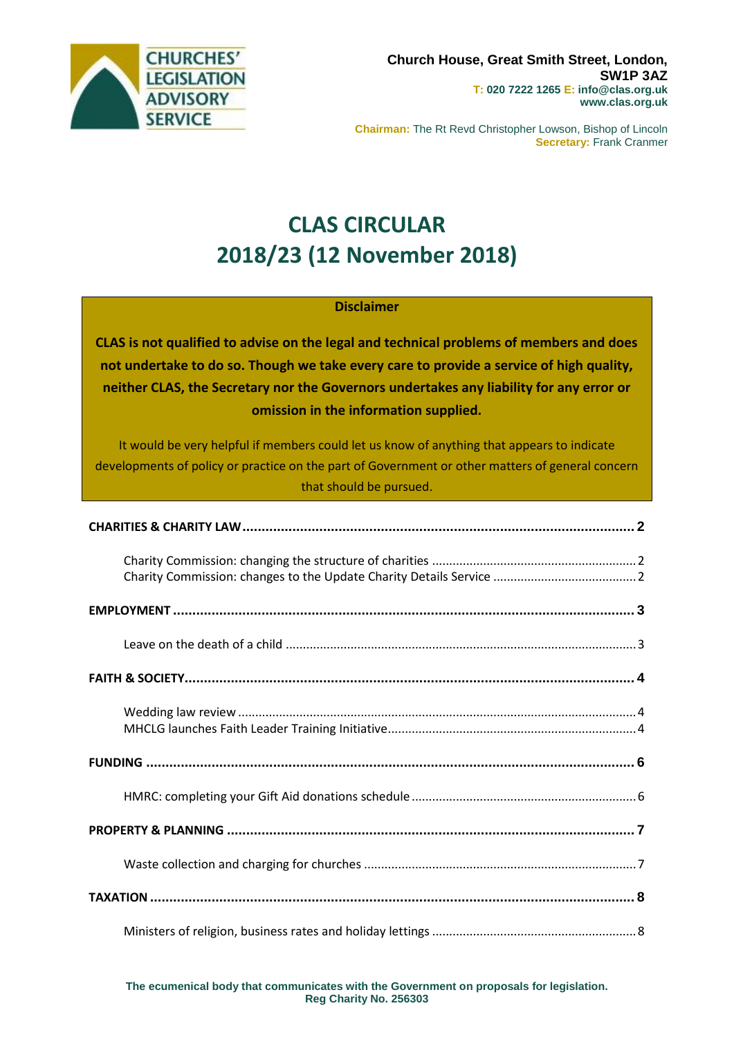

**Chairman:** The Rt Revd Christopher Lowson, Bishop of Lincoln **Secretary:** Frank Cranmer

# **CLAS CIRCULAR 2018/23 (12 November 2018)**

## **Disclaimer**

**CLAS is not qualified to advise on the legal and technical problems of members and does not undertake to do so. Though we take every care to provide a service of high quality, neither CLAS, the Secretary nor the Governors undertakes any liability for any error or omission in the information supplied.**

It would be very helpful if members could let us know of anything that appears to indicate developments of policy or practice on the part of Government or other matters of general concern that should be pursued.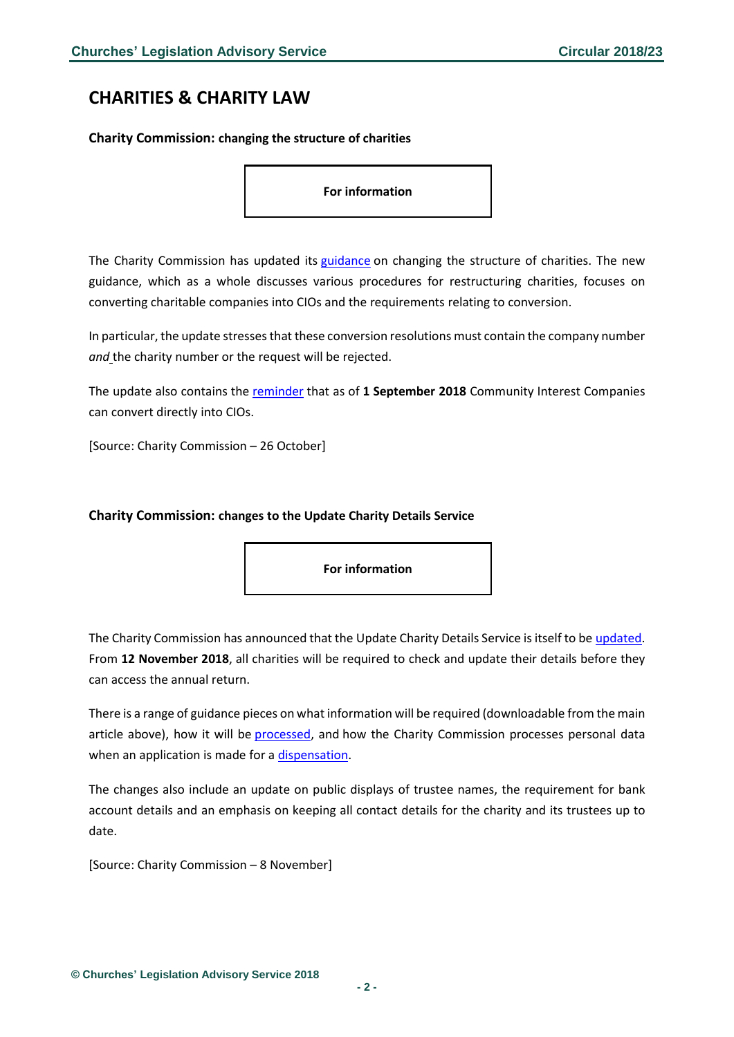# <span id="page-1-0"></span>**CHARITIES & CHARITY LAW**

<span id="page-1-1"></span>**Charity Commission: changing the structure of charities**

**For information**

The Charity Commission has updated its [guidance](https://www.gov.uk/guidance/change-your-charity-structure#history) on changing the structure of charities. The new guidance, which as a whole discusses various procedures for restructuring charities, focuses on converting charitable companies into CIOs and the requirements relating to conversion.

In particular, the update stresses that these conversion resolutions must contain the company number *and* the charity number or the request will be rejected.

The update also contains the [reminder](https://www.gov.uk/guidance/convert-a-community-interest-company-to-a-cio) that as of **1 September 2018** Community Interest Companies can convert directly into CIOs.

[Source: Charity Commission – 26 October]

#### <span id="page-1-2"></span>**Charity Commission: changes to the Update Charity Details Service**

**For information**

The Charity Commission has announced that the Update Charity Details Service isitself to be [updated.](https://www.gov.uk/government/news/update-your-charity-details-improved-service-coming-soon) From **12 November 2018**, all charities will be required to check and update their details before they can access the annual return.

There is a range of guidance pieces on what information will be required (downloadable from the main article above), how it will be [processed,](https://www.gov.uk/government/organisations/charity-commission/about/personal-information-charter) and how the Charity Commission processes personal data when an application is made for a [dispensation.](https://www.gov.uk/government/publications/charity-trustee-dispensation-privacy-notice/charity-trustee-dispensation-privacy-notice)

The changes also include an update on public displays of trustee names, the requirement for bank account details and an emphasis on keeping all contact details for the charity and its trustees up to date.

[Source: Charity Commission – 8 November]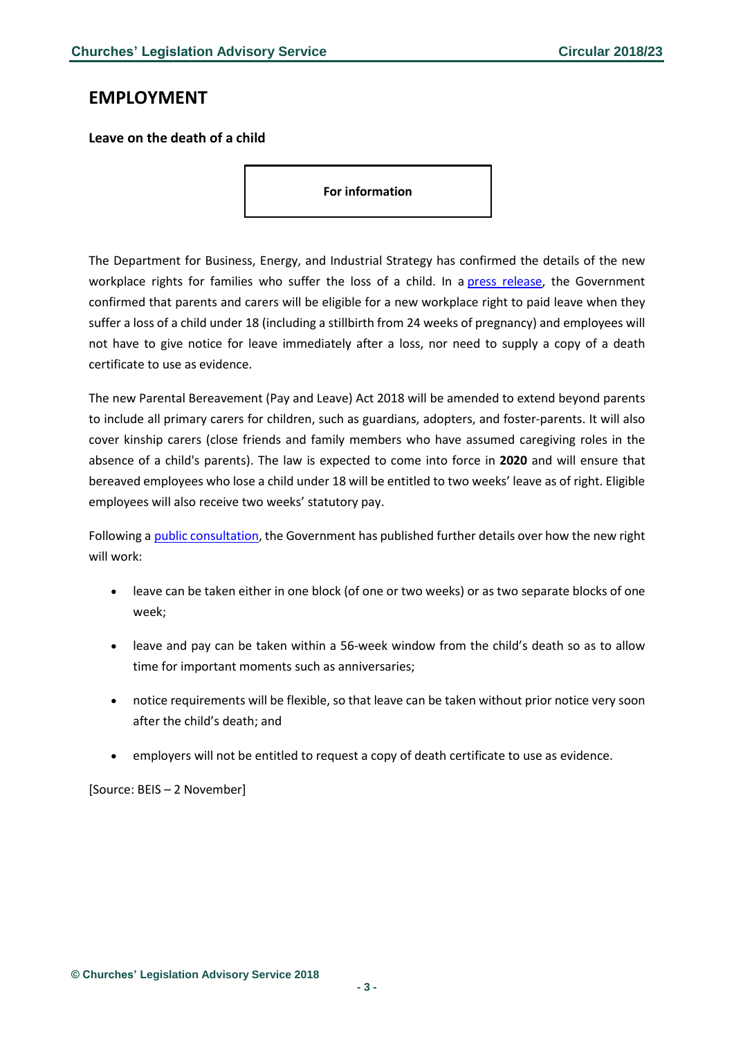## <span id="page-2-0"></span>**EMPLOYMENT**

#### <span id="page-2-1"></span>**Leave on the death of a child**

**For information**

The Department for Business, Energy, and Industrial Strategy has confirmed the details of the new workplace rights for families who suffer the loss of a child. In a press [release,](https://www.gov.uk/government/news/new-law-supports-all-families-who-suffer-the-loss-of-a-child) the Government confirmed that parents and carers will be eligible for a new workplace right to paid leave when they suffer a loss of a child under 18 (including a stillbirth from 24 weeks of pregnancy) and employees will not have to give notice for leave immediately after a loss, nor need to supply a copy of a death certificate to use as evidence.

The new Parental Bereavement (Pay and Leave) Act 2018 will be amended to extend beyond parents to include all primary carers for children, such as guardians, adopters, and foster-parents. It will also cover kinship carers (close friends and family members who have assumed caregiving roles in the absence of a child's parents). The law is expected to come into force in **2020** and will ensure that bereaved employees who lose a child under 18 will be entitled to two weeks' leave as of right. Eligible employees will also receive two weeks' statutory pay.

Following a public [consultation,](https://www.gov.uk/government/consultations/parental-bereavement-leave-and-pay) the Government has published further details over how the new right will work:

- leave can be taken either in one block (of one or two weeks) or as two separate blocks of one week;
- leave and pay can be taken within a 56-week window from the child's death so as to allow time for important moments such as anniversaries;
- notice requirements will be flexible, so that leave can be taken without prior notice very soon after the child's death; and
- employers will not be entitled to request a copy of death certificate to use as evidence.

[Source: BEIS – 2 November]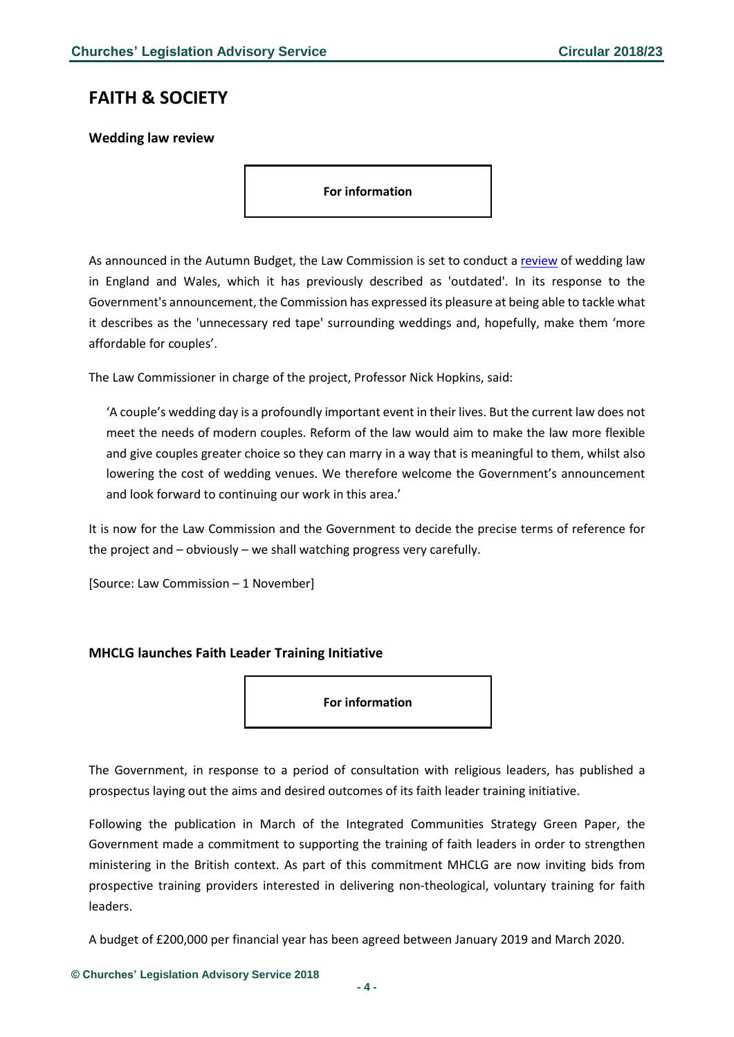## <span id="page-3-0"></span>**FAITH & SOCIETY**

<span id="page-3-1"></span>**Wedding law review**

**For information**

As announced in the Autumn Budget, the Law Commission is set to conduct a [review](https://www.lawcom.gov.uk/government-asks-law-commission-to-conduct-a-full-review-of-weddings-law/) of wedding law in England and Wales, which it has previously described as 'outdated'. In its response to the Government's announcement, the Commission has expressed its pleasure at being able to tackle what it describes as the 'unnecessary red tape' surrounding weddings and, hopefully, make them 'more affordable for couples'.

The Law Commissioner in charge of the project, Professor Nick Hopkins, said:

'A couple's wedding day is a profoundly important event in their lives. But the current law does not meet the needs of modern couples. Reform of the law would aim to make the law more flexible and give couples greater choice so they can marry in a way that is meaningful to them, whilst also lowering the cost of wedding venues. We therefore welcome the Government's announcement and look forward to continuing our work in this area.'

It is now for the Law Commission and the Government to decide the precise terms of reference for the project and – obviously – we shall watching progress very carefully.

[Source: Law Commission – 1 November]

#### <span id="page-3-2"></span>**MHCLG launches Faith Leader Training Initiative**

**For information**

The Government, in response to a period of consultation with religious leaders, has published a prospectus laying out the aims and desired outcomes of its faith leader training initiative.

Following the publication in March of the Integrated Communities Strategy Green Paper, the Government made a commitment to supporting the training of faith leaders in order to strengthen ministering in the British context. As part of this commitment MHCLG are now inviting bids from prospective training providers interested in delivering non-theological, voluntary training for faith leaders.

A budget of £200,000 per financial year has been agreed between January 2019 and March 2020.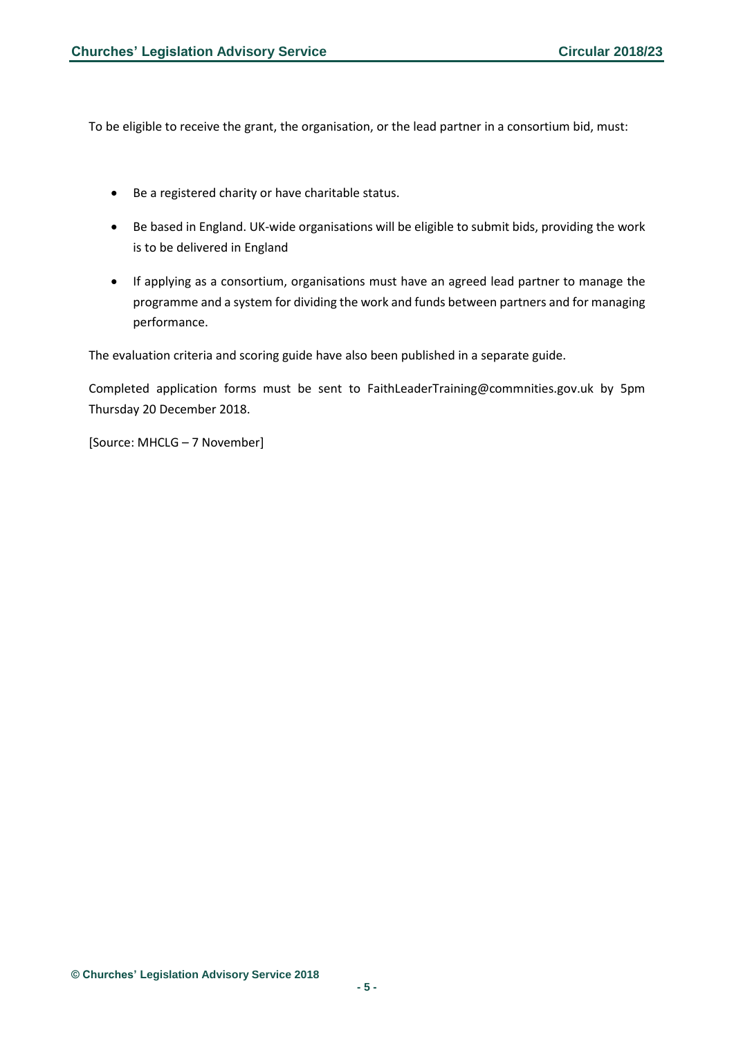To be eligible to receive the grant, the organisation, or the lead partner in a consortium bid, must:

- Be a registered charity or have charitable status.
- Be based in England. UK-wide organisations will be eligible to submit bids, providing the work is to be delivered in England
- If applying as a consortium, organisations must have an agreed lead partner to manage the programme and a system for dividing the work and funds between partners and for managing performance.

The evaluation criteria and scoring guide have also been published in a separate guide.

Completed application forms must be sent to FaithLeaderTraining@commnities.gov.uk by 5pm Thursday 20 December 2018.

[Source: MHCLG – 7 November]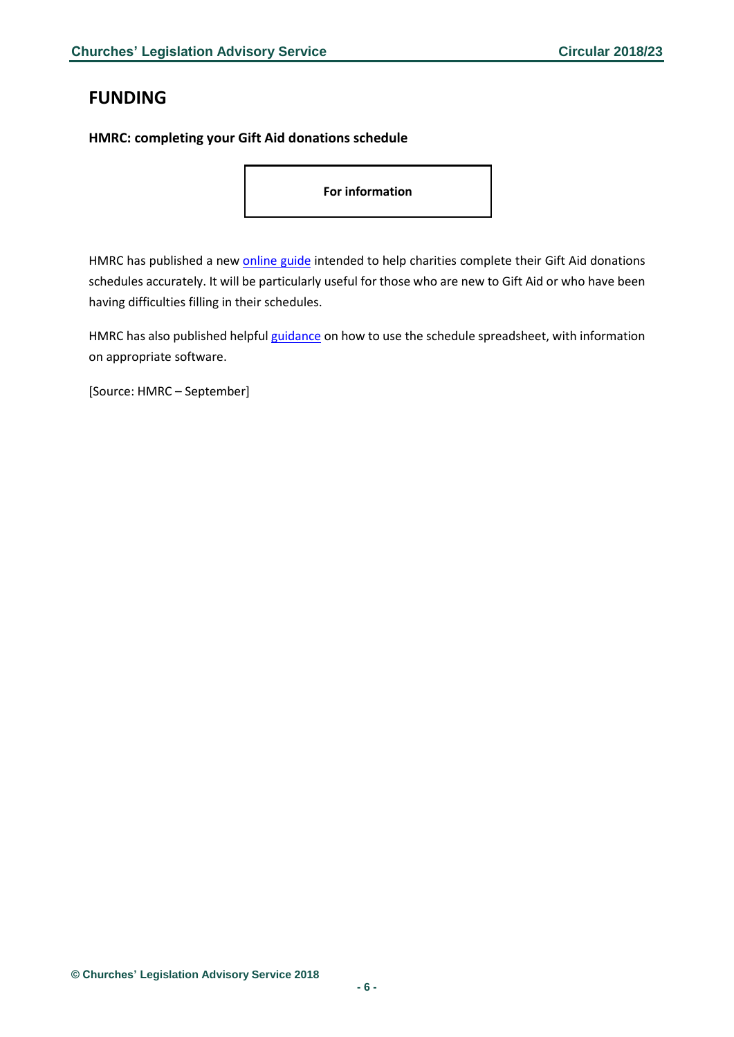# <span id="page-5-0"></span>**FUNDING**

### <span id="page-5-1"></span>**HMRC: completing your Gift Aid donations schedule**

**For information**

HMRC has published a new [online](http://www.hmrc.gov.uk/courses/syob4/giftaidsch_guide) guide intended to help charities complete their Gift Aid donations schedules accurately. It will be particularly useful for those who are new to Gift Aid or who have been having difficulties filling in their schedules.

HMRC has also published helpful [guidance](https://www.gov.uk/guidance/schedule-spreadsheet-to-claim-back-tax-on-gift-aid-donations#get-the-right-software) on how to use the schedule spreadsheet, with information on appropriate software.

[Source: HMRC – September]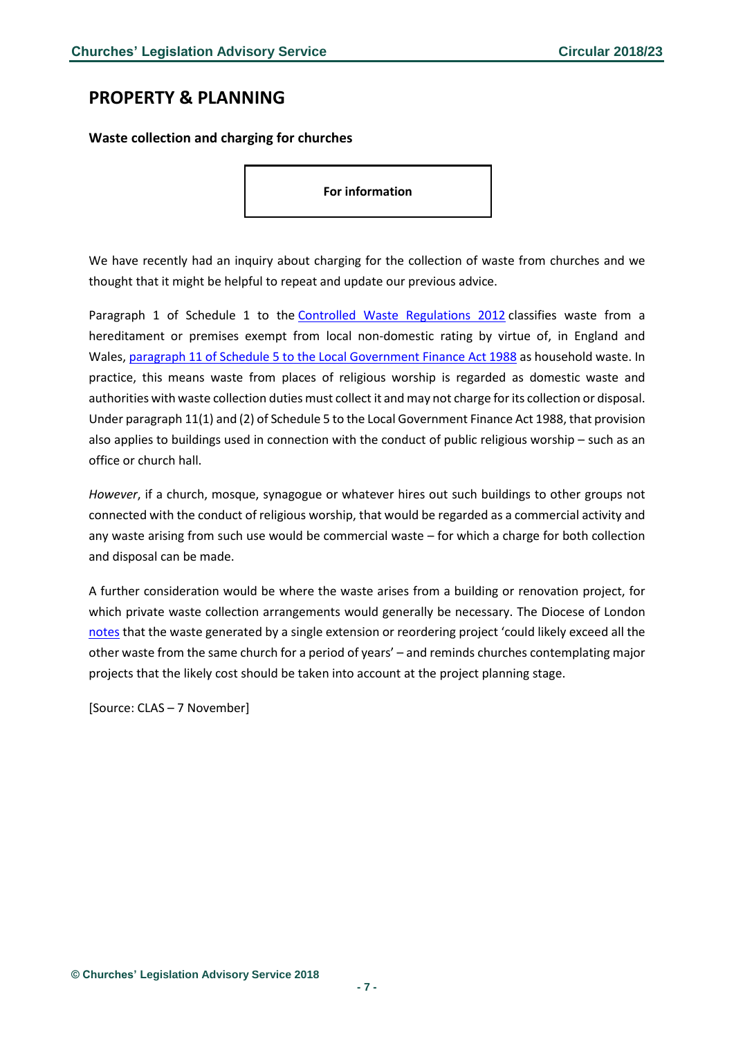## <span id="page-6-0"></span>**PROPERTY & PLANNING**

<span id="page-6-1"></span>**Waste collection and charging for churches**

**For information**

We have recently had an inquiry about charging for the collection of waste from churches and we thought that it might be helpful to repeat and update our previous advice.

Paragraph 1 of Schedule 1 to the Controlled Waste [Regulations](https://emea01.safelinks.protection.outlook.com/?url=http%3A%2F%2Fwww.legislation.gov.uk%2Fuksi%2F2012%2F811%2Fschedule%2F1&data=02%7C01%7Cdavid.knight%40churchofengland.org%7C33e5ccd51dd74957530d08d6456d9fd7%7C95e2463b3ab047b49ac1587c77ee84f0%7C0%7C0%7C636772734475575003&sdata=32VlyCKBo9c15TRngF95d%2BESl6zMZ1HIEgkS5WUMQz4%3D&reserved=0) 2012 classifies waste from a hereditament or premises exempt from local non-domestic rating by virtue of, in England and Wales, paragraph 11 of Schedule 5 to the Local [Government](https://emea01.safelinks.protection.outlook.com/?url=https%3A%2F%2Fwww.legislation.gov.uk%2Fukpga%2F1988%2F41%2Fschedule%2F5&data=02%7C01%7Cdavid.knight%40churchofengland.org%7C33e5ccd51dd74957530d08d6456d9fd7%7C95e2463b3ab047b49ac1587c77ee84f0%7C0%7C0%7C636772734475585012&sdata=yILP%2B011eu%2BCPwd0USsjwXEg77UVrDSXVbajUQRxELY%3D&reserved=0) Finance Act 1988 as household waste. In practice, this means waste from places of religious worship is regarded as domestic waste and authorities with waste collection duties must collect it and may not charge for its collection or disposal. Under paragraph 11(1) and (2) of Schedule 5 to the Local Government Finance Act 1988, that provision also applies to buildings used in connection with the conduct of public religious worship – such as an office or church hall.

*However*, if a church, mosque, synagogue or whatever hires out such buildings to other groups not connected with the conduct of religious worship, that would be regarded as a commercial activity and any waste arising from such use would be commercial waste – for which a charge for both collection and disposal can be made.

A further consideration would be where the waste arises from a building or renovation project, for which private waste collection arrangements would generally be necessary. The Diocese of London [notes](https://www.london.anglican.org/kb/waste-collection-and-recycling/) that the waste generated by a single extension or reordering project 'could likely exceed all the other waste from the same church for a period of years' – and reminds churches contemplating major projects that the likely cost should be taken into account at the project planning stage.

[Source: CLAS – 7 November]